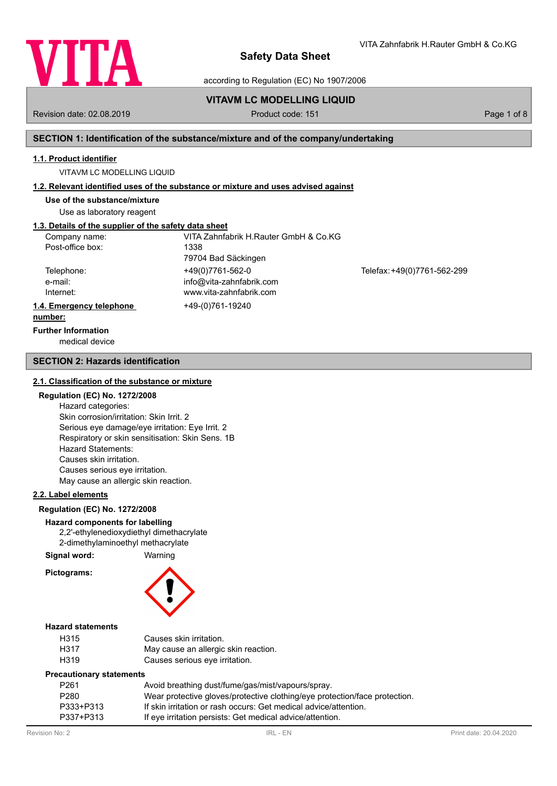

according to Regulation (EC) No 1907/2006

# **VITAVM LC MODELLING LIQUID**

Revision date: 02.08.2019 **Product code: 151** Product code: 151 **Page 1 of 8** Page 1 of 8

VITA Zahnfabrik H.Rauter GmbH & Co.KG

## **SECTION 1: Identification of the substance/mixture and of the company/undertaking**

#### **1.1. Product identifier**

VITAVM LC MODELLING LIQUID

#### **1.2. Relevant identified uses of the substance or mixture and uses advised against**

**Use of the substance/mixture**

Use as laboratory reagent

# **1.3. Details of the supplier of the safety data sheet**

| Company name:<br>Post-office box:  | VITA Zahnfabrik H.Rauter GmbH & Co.KG<br>1338                           |                             |
|------------------------------------|-------------------------------------------------------------------------|-----------------------------|
|                                    | 79704 Bad Säckingen                                                     |                             |
| Telephone:<br>e-mail:<br>Internet: | +49(0)7761-562-0<br>info@vita-zahnfabrik.com<br>www.vita-zahnfabrik.com | Telefax: +49(0)7761-562-299 |
| 1.4. Emergency telephone           | +49-(0)761-19240                                                        |                             |
| number:                            |                                                                         |                             |

# **Further Information**

medical device

#### **SECTION 2: Hazards identification**

#### **2.1. Classification of the substance or mixture**

#### **Regulation (EC) No. 1272/2008**

Hazard categories: Skin corrosion/irritation: Skin Irrit. 2 Serious eye damage/eye irritation: Eye Irrit. 2 Respiratory or skin sensitisation: Skin Sens. 1B Hazard Statements: Causes skin irritation. Causes serious eye irritation. May cause an allergic skin reaction.

#### **2.2. Label elements**

#### **Regulation (EC) No. 1272/2008**

# **Hazard components for labelling**

2,2'-ethylenedioxydiethyl dimethacrylate 2-dimethylaminoethyl methacrylate

**Signal word:** Warning

**Pictograms:**



#### **Hazard statements**

| H315 | Causes skin irritation.              |
|------|--------------------------------------|
| H317 | May cause an allergic skin reaction. |
| H319 | Causes serious eye irritation.       |

#### **Precautionary statements**

| P <sub>261</sub> | Avoid breathing dust/fume/gas/mist/vapours/spray.                          |
|------------------|----------------------------------------------------------------------------|
| P280             | Wear protective gloves/protective clothing/eye protection/face protection. |
| P333+P313        | If skin irritation or rash occurs: Get medical advice/attention.           |
| P337+P313        | If eye irritation persists: Get medical advice/attention.                  |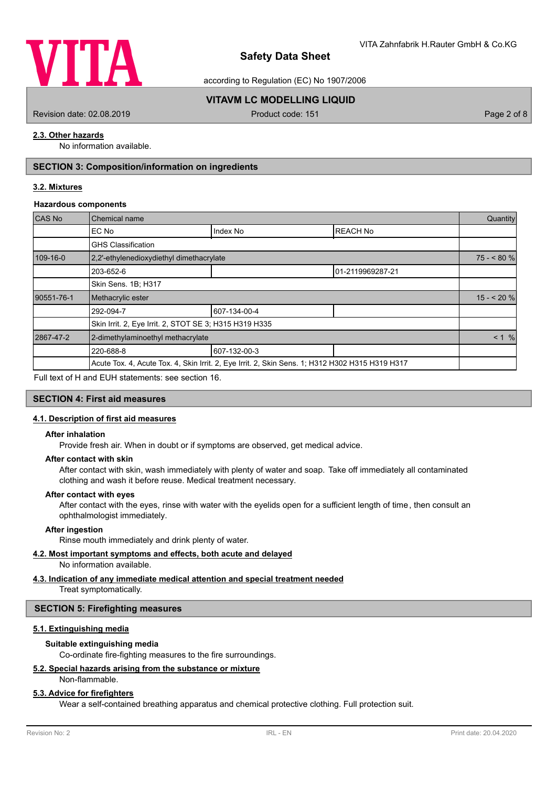

according to Regulation (EC) No 1907/2006

# **VITAVM LC MODELLING LIQUID**

Revision date: 02.08.2019 **Product code: 151** Product code: 151 **Page 2 of 8** Page 2 of 8

## **2.3. Other hazards**

No information available.

# **SECTION 3: Composition/information on ingredients**

## **3.2. Mixtures**

#### **Hazardous components**

| CAS No     | Chemical name                                                                                   |              |                  |            |  |
|------------|-------------------------------------------------------------------------------------------------|--------------|------------------|------------|--|
|            | EC No                                                                                           | Index No     | <b>REACH No</b>  |            |  |
|            | <b>GHS Classification</b>                                                                       |              |                  |            |  |
| 109-16-0   | 2,2'-ethylenedioxydiethyl dimethacrylate                                                        |              |                  | $75 - 80%$ |  |
|            | 203-652-6                                                                                       |              | 01-2119969287-21 |            |  |
|            | Skin Sens. 1B; H317                                                                             |              |                  |            |  |
| 90551-76-1 | Methacrylic ester                                                                               |              |                  | $15 - 20%$ |  |
|            | 292-094-7                                                                                       | 607-134-00-4 |                  |            |  |
|            | Skin Irrit. 2, Eye Irrit. 2, STOT SE 3; H315 H319 H335                                          |              |                  |            |  |
| 2867-47-2  | 2-dimethylaminoethyl methacrylate                                                               |              |                  |            |  |
|            | 220-688-8                                                                                       | 607-132-00-3 |                  |            |  |
|            | Acute Tox. 4, Acute Tox. 4, Skin Irrit. 2, Eye Irrit. 2, Skin Sens. 1; H312 H302 H315 H319 H317 |              |                  |            |  |

Full text of H and EUH statements: see section 16.

# **SECTION 4: First aid measures**

#### **4.1. Description of first aid measures**

#### **After inhalation**

Provide fresh air. When in doubt or if symptoms are observed, get medical advice.

#### **After contact with skin**

After contact with skin, wash immediately with plenty of water and soap. Take off immediately all contaminated clothing and wash it before reuse. Medical treatment necessary.

#### **After contact with eyes**

After contact with the eyes, rinse with water with the eyelids open for a sufficient length of time, then consult an ophthalmologist immediately.

## **After ingestion**

Rinse mouth immediately and drink plenty of water.

## **4.2. Most important symptoms and effects, both acute and delayed**

No information available.

# **4.3. Indication of any immediate medical attention and special treatment needed**

Treat symptomatically.

# **SECTION 5: Firefighting measures**

# **5.1. Extinguishing media**

# **Suitable extinguishing media**

Co-ordinate fire-fighting measures to the fire surroundings.

# **5.2. Special hazards arising from the substance or mixture**

Non-flammable.

# **5.3. Advice for firefighters**

Wear a self-contained breathing apparatus and chemical protective clothing. Full protection suit.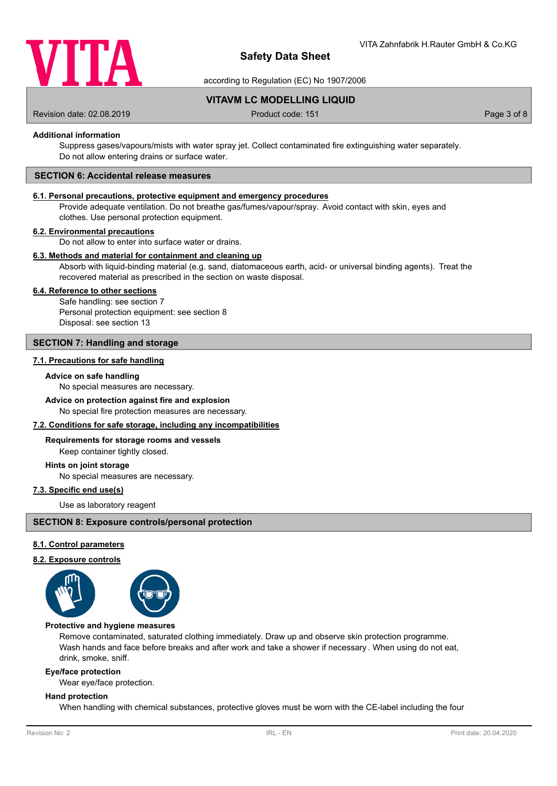

according to Regulation (EC) No 1907/2006

**VITAVM LC MODELLING LIQUID**

Revision date: 02.08.2019 **Product code: 151** Product code: 151 **Page 3 of 8** Page 3 of 8

#### **Additional information**

Suppress gases/vapours/mists with water spray jet. Collect contaminated fire extinguishing water separately. Do not allow entering drains or surface water.

#### **SECTION 6: Accidental release measures**

#### **6.1. Personal precautions, protective equipment and emergency procedures**

Provide adequate ventilation. Do not breathe gas/fumes/vapour/spray. Avoid contact with skin, eyes and clothes. Use personal protection equipment.

#### **6.2. Environmental precautions**

Do not allow to enter into surface water or drains.

#### **6.3. Methods and material for containment and cleaning up**

Absorb with liquid-binding material (e.g. sand, diatomaceous earth, acid- or universal binding agents). Treat the recovered material as prescribed in the section on waste disposal.

#### **6.4. Reference to other sections**

Safe handling: see section 7 Personal protection equipment: see section 8 Disposal: see section 13

#### **SECTION 7: Handling and storage**

#### **7.1. Precautions for safe handling**

#### **Advice on safe handling**

No special measures are necessary.

#### **Advice on protection against fire and explosion**

No special fire protection measures are necessary.

#### **7.2. Conditions for safe storage, including any incompatibilities**

#### **Requirements for storage rooms and vessels**

Keep container tightly closed.

#### **Hints on joint storage**

No special measures are necessary.

# **7.3. Specific end use(s)**

Use as laboratory reagent

#### **SECTION 8: Exposure controls/personal protection**

#### **8.1. Control parameters**

#### **8.2. Exposure controls**



#### **Protective and hygiene measures**

Remove contaminated, saturated clothing immediately. Draw up and observe skin protection programme. Wash hands and face before breaks and after work and take a shower if necessary . When using do not eat, drink, smoke, sniff.

#### **Eye/face protection**

Wear eye/face protection.

#### **Hand protection**

When handling with chemical substances, protective gloves must be worn with the CE-label including the four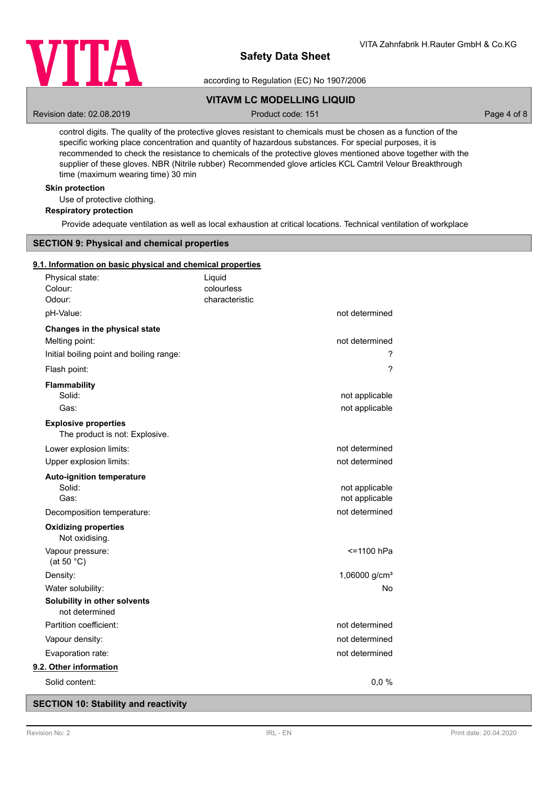

according to Regulation (EC) No 1907/2006

# **VITAVM LC MODELLING LIQUID**

Revision date: 02.08.2019 **Product code: 151** Product code: 151 **Page 4 of 8** Page 4 of 8

control digits. The quality of the protective gloves resistant to chemicals must be chosen as a function of the specific working place concentration and quantity of hazardous substances. For special purposes, it is recommended to check the resistance to chemicals of the protective gloves mentioned above together with the supplier of these gloves. NBR (Nitrile rubber) Recommended glove articles KCL Camtril Velour Breakthrough time (maximum wearing time) 30 min

# **Skin protection**

Use of protective clothing.

# **Respiratory protection**

Provide adequate ventilation as well as local exhaustion at critical locations. Technical ventilation of workplace

# **SECTION 9: Physical and chemical properties**

#### **9.1. Information on basic physical and chemical properties**

| Physical state:<br>Colour:<br>Odour:                                                        | Liquid<br>colourless<br>characteristic |                                  |
|---------------------------------------------------------------------------------------------|----------------------------------------|----------------------------------|
| pH-Value:                                                                                   |                                        | not determined                   |
| Changes in the physical state<br>Melting point:<br>Initial boiling point and boiling range: |                                        | not determined<br>?              |
| Flash point:                                                                                |                                        | ?                                |
| <b>Flammability</b><br>Solid:<br>Gas:                                                       |                                        | not applicable<br>not applicable |
| <b>Explosive properties</b><br>The product is not: Explosive.                               |                                        |                                  |
| Lower explosion limits:<br>Upper explosion limits:                                          |                                        | not determined<br>not determined |
| <b>Auto-ignition temperature</b><br>Solid:<br>Gas:                                          |                                        | not applicable<br>not applicable |
| Decomposition temperature:<br><b>Oxidizing properties</b><br>Not oxidising.                 |                                        | not determined                   |
| Vapour pressure:<br>(at 50 $°C$ )                                                           |                                        | <=1100 hPa                       |
| Density:                                                                                    |                                        | 1,06000 g/cm <sup>3</sup>        |
| Water solubility:                                                                           |                                        | No                               |
| Solubility in other solvents<br>not determined                                              |                                        |                                  |
| Partition coefficient:                                                                      |                                        | not determined                   |
| Vapour density:                                                                             |                                        | not determined                   |
| Evaporation rate:                                                                           |                                        | not determined                   |
| 9.2. Other information                                                                      |                                        |                                  |
| Solid content:                                                                              |                                        | 0,0%                             |
|                                                                                             |                                        |                                  |

# **SECTION 10: Stability and reactivity**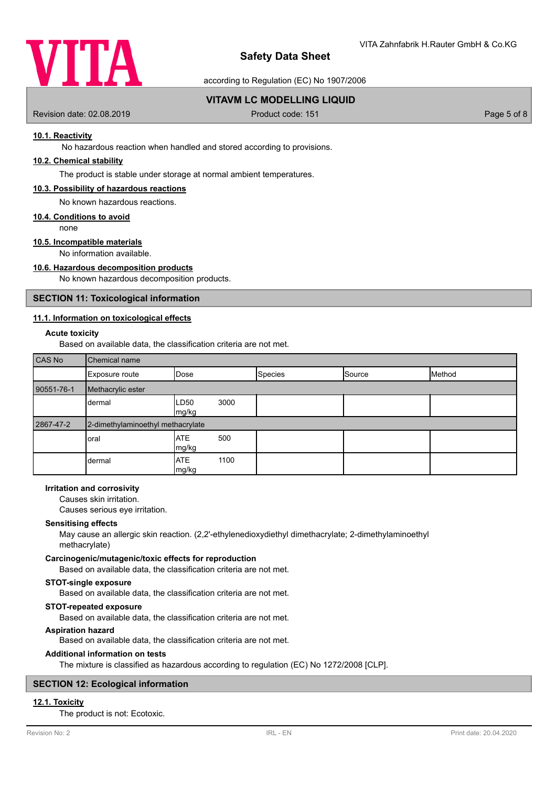

according to Regulation (EC) No 1907/2006

# **VITAVM LC MODELLING LIQUID**

Revision date: 02.08.2019 **Product code: 151** Product code: 151 **Page 5 of 8** Page 5 of 8

#### **10.1. Reactivity**

No hazardous reaction when handled and stored according to provisions.

# **10.2. Chemical stability**

The product is stable under storage at normal ambient temperatures.

#### **10.3. Possibility of hazardous reactions**

No known hazardous reactions.

#### **10.4. Conditions to avoid**

none

# **10.5. Incompatible materials**

No information available.

# **10.6. Hazardous decomposition products**

No known hazardous decomposition products.

#### **SECTION 11: Toxicological information**

#### **11.1. Information on toxicological effects**

#### **Acute toxicity**

Based on available data, the classification criteria are not met.

| CAS No     | Chemical name                     |                     |      |                |        |        |
|------------|-----------------------------------|---------------------|------|----------------|--------|--------|
|            | Exposure route                    | Dose                |      | <b>Species</b> | Source | Method |
| 90551-76-1 | Methacrylic ester                 |                     |      |                |        |        |
|            | dermal                            | LD50<br>mg/kg       | 3000 |                |        |        |
| 2867-47-2  | 2-dimethylaminoethyl methacrylate |                     |      |                |        |        |
|            | oral                              | <b>ATE</b><br>mg/kg | 500  |                |        |        |
|            | dermal                            | <b>ATE</b><br>mg/kg | 1100 |                |        |        |

#### **Irritation and corrosivity**

Causes skin irritation.

Causes serious eye irritation.

#### **Sensitising effects**

May cause an allergic skin reaction. (2,2'-ethylenedioxydiethyl dimethacrylate; 2-dimethylaminoethyl methacrylate)

#### **Carcinogenic/mutagenic/toxic effects for reproduction**

Based on available data, the classification criteria are not met.

#### **STOT-single exposure**

Based on available data, the classification criteria are not met.

#### **STOT-repeated exposure**

Based on available data, the classification criteria are not met.

#### **Aspiration hazard**

Based on available data, the classification criteria are not met.

#### **Additional information on tests**

The mixture is classified as hazardous according to regulation (EC) No 1272/2008 [CLP].

# **SECTION 12: Ecological information**

#### **12.1. Toxicity**

The product is not: Ecotoxic.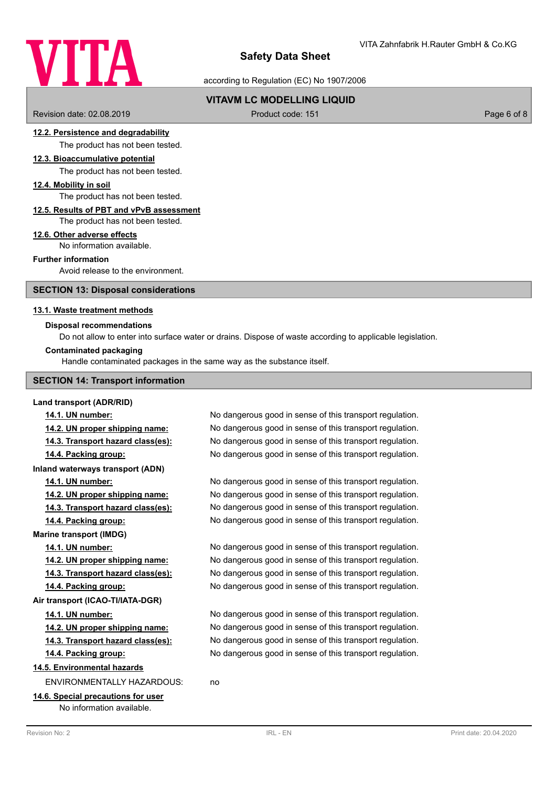# VITA

# **Safety Data Sheet**

according to Regulation (EC) No 1907/2006

# **VITAVM LC MODELLING LIQUID**

Revision date: 02.08.2019 **Product code: 151** Product code: 151 **Page 6 of 8** Page 6 of 8

#### **12.2. Persistence and degradability**

The product has not been tested.

# **12.3. Bioaccumulative potential**

The product has not been tested.

#### **12.4. Mobility in soil**

The product has not been tested.

#### **12.5. Results of PBT and vPvB assessment**

The product has not been tested.

#### **12.6. Other adverse effects**

No information available.

# **Further information**

Avoid release to the environment.

#### **SECTION 13: Disposal considerations**

#### **13.1. Waste treatment methods**

#### **Disposal recommendations**

Do not allow to enter into surface water or drains. Dispose of waste according to applicable legislation.

#### **Contaminated packaging**

Handle contaminated packages in the same way as the substance itself.

#### **SECTION 14: Transport information**

#### **Land transport (ADR/RID)**

**Inland waterways transport (ADN)**

**Marine transport (IMDG)**

#### **Air transport (ICAO-TI/IATA-DGR)**

#### **14.5. Environmental hazards**

ENVIRONMENTALLY HAZARDOUS: no

## **14.6. Special precautions for user** No information available.

**14.1. UN number:** No dangerous good in sense of this transport regulation. **14.2. UN proper shipping name:** No dangerous good in sense of this transport regulation. **14.3. Transport hazard class(es):** No dangerous good in sense of this transport regulation. **14.4. Packing group:** No dangerous good in sense of this transport regulation.

**14.1. UN number:** No dangerous good in sense of this transport regulation. **14.2. UN proper shipping name:** No dangerous good in sense of this transport regulation. **14.3. Transport hazard class(es):** No dangerous good in sense of this transport regulation. **14.4. Packing group:** No dangerous good in sense of this transport regulation.

**14.1. UN number:** No dangerous good in sense of this transport regulation. **14.2. UN proper shipping name:** No dangerous good in sense of this transport regulation. **14.3. Transport hazard class(es):** No dangerous good in sense of this transport regulation. **14.4. Packing group:** No dangerous good in sense of this transport regulation.

**14.1. UN number:** No dangerous good in sense of this transport regulation. **14.2. UN proper shipping name:** No dangerous good in sense of this transport regulation. **14.3. Transport hazard class(es):** No dangerous good in sense of this transport regulation. **14.4. Packing group:** No dangerous good in sense of this transport regulation.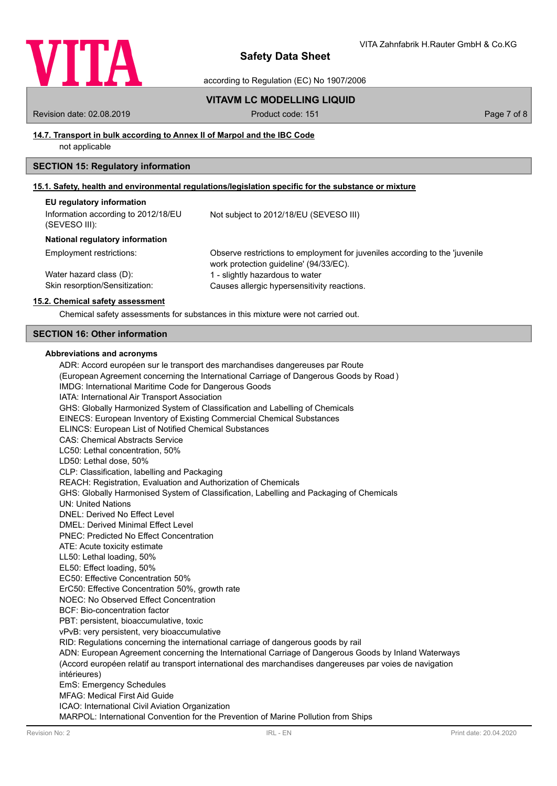

according to Regulation (EC) No 1907/2006

# **VITAVM LC MODELLING LIQUID**

Revision date: 02.08.2019 **Product code: 151** Product code: 151 **Page 7 of 8** Page 7 of 8

#### **14.7. Transport in bulk according to Annex II of Marpol and the IBC Code**

not applicable

# **SECTION 15: Regulatory information**

## **15.1. Safety, health and environmental regulations/legislation specific for the substance or mixture**

| EU regulatory information                            |                                                                                                                       |
|------------------------------------------------------|-----------------------------------------------------------------------------------------------------------------------|
| Information according to 2012/18/EU<br>(SEVESO III): | Not subject to 2012/18/EU (SEVESO III)                                                                                |
| National regulatory information                      |                                                                                                                       |
| Employment restrictions:                             | Observe restrictions to employment for juveniles according to the 'juvenile<br>work protection guideline' (94/33/EC). |
| Water hazard class (D):                              | 1 - slightly hazardous to water                                                                                       |
| Skin resorption/Sensitization:                       | Causes allergic hypersensitivity reactions.                                                                           |

#### **15.2. Chemical safety assessment**

Chemical safety assessments for substances in this mixture were not carried out.

#### **SECTION 16: Other information**

#### **Abbreviations and acronyms**

ADR: Accord européen sur le transport des marchandises dangereuses par Route (European Agreement concerning the International Carriage of Dangerous Goods by Road ) IMDG: International Maritime Code for Dangerous Goods IATA: International Air Transport Association GHS: Globally Harmonized System of Classification and Labelling of Chemicals EINECS: European Inventory of Existing Commercial Chemical Substances ELINCS: European List of Notified Chemical Substances CAS: Chemical Abstracts Service LC50: Lethal concentration, 50% LD50: Lethal dose, 50% CLP: Classification, labelling and Packaging REACH: Registration, Evaluation and Authorization of Chemicals GHS: Globally Harmonised System of Classification, Labelling and Packaging of Chemicals UN: United Nations DNEL: Derived No Effect Level DMEL: Derived Minimal Effect Level PNEC: Predicted No Effect Concentration ATE: Acute toxicity estimate LL50: Lethal loading, 50% EL50: Effect loading, 50% EC50: Effective Concentration 50% ErC50: Effective Concentration 50%, growth rate NOEC: No Observed Effect Concentration BCF: Bio-concentration factor PBT: persistent, bioaccumulative, toxic vPvB: very persistent, very bioaccumulative RID: Regulations concerning the international carriage of dangerous goods by rail ADN: European Agreement concerning the International Carriage of Dangerous Goods by Inland Waterways (Accord européen relatif au transport international des marchandises dangereuses par voies de navigation intérieures) EmS: Emergency Schedules MFAG: Medical First Aid Guide ICAO: International Civil Aviation Organization MARPOL: International Convention for the Prevention of Marine Pollution from Ships